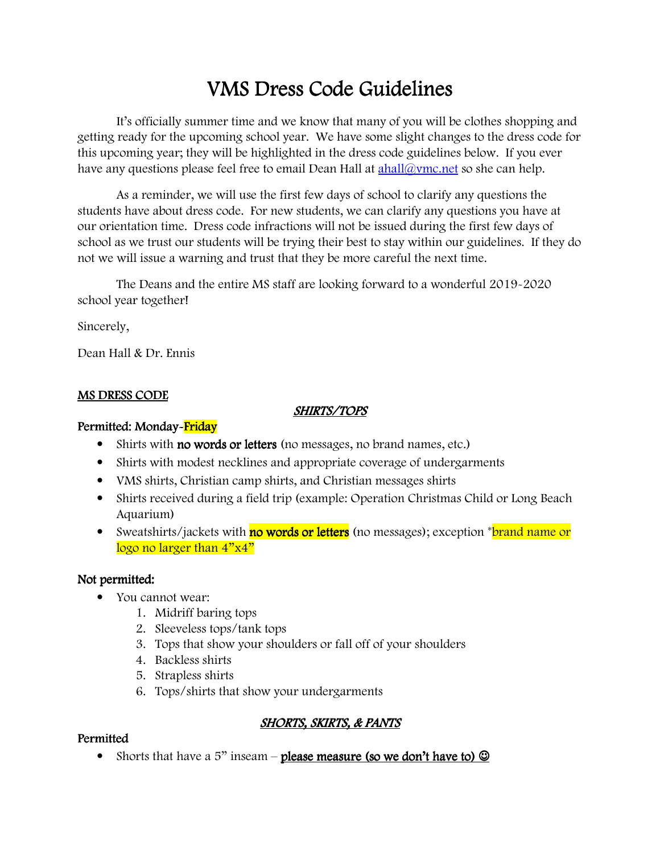# VMS Dress Code Guidelines

It's officially summer time and we know that many of you will be clothes shopping and getting ready for the upcoming school year. We have some slight changes to the dress code for this upcoming year; they will be highlighted in the dress code guidelines below. If you ever have any questions please feel free to email Dean Hall at  $\alpha$ lahl $\alpha$ ymc.net so she can help.

 As a reminder, we will use the first few days of school to clarify any questions the students have about dress code. For new students, we can clarify any questions you have at our orientation time. Dress code infractions will not be issued during the first few days of school as we trust our students will be trying their best to stay within our guidelines. If they do not we will issue a warning and trust that they be more careful the next time.

 The Deans and the entire MS staff are looking forward to a wonderful 2019-2020 school year together!

Sincerely,

Dean Hall & Dr. Ennis

#### MS DRESS CODE

#### SHIRTS/TOPS

### Permitted: Monday-Friday

- Shirts with **no words or letters** (no messages, no brand names, etc.)
- Shirts with modest necklines and appropriate coverage of undergarments
- VMS shirts, Christian camp shirts, and Christian messages shirts
- Shirts received during a field trip (example: Operation Christmas Child or Long Beach Aquarium)
- Sweatshirts/jackets with no words or letters (no messages); exception \*brand name or logo no larger than  $4"x4"$

# Not permitted:

- You cannot wear:
	- 1. Midriff baring tops
	- 2. Sleeveless tops/tank tops
	- 3. Tops that show your shoulders or fall off of your shoulders
	- 4. Backless shirts
	- 5. Strapless shirts
	- 6. Tops/shirts that show your undergarments

# **SHORTS, SKIRTS, & PANTS**

# **Permitted**

• Shorts that have a 5" inseam – please measure (so we don't have to)  $\odot$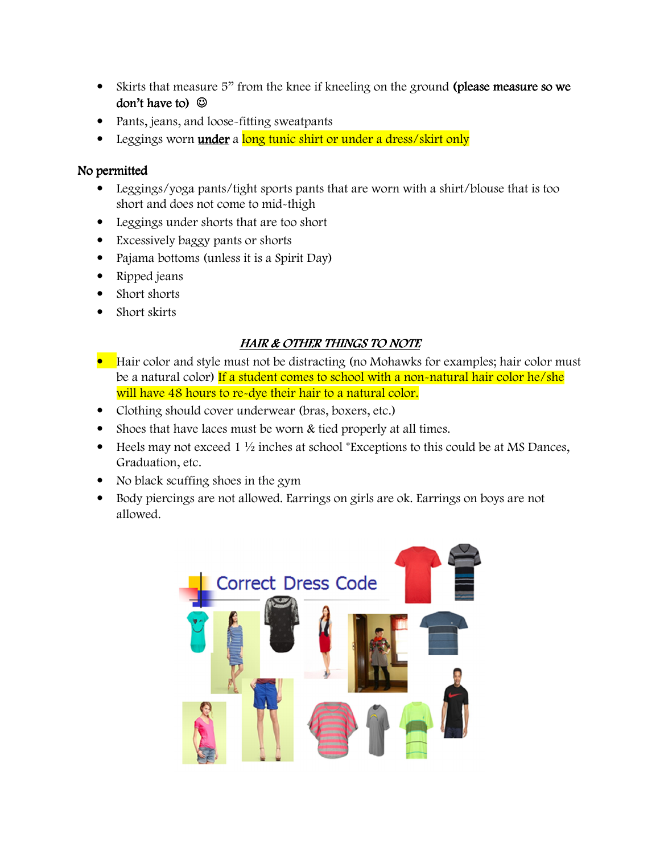- Skirts that measure 5" from the knee if kneeling on the ground (please measure so we don't have to  $\odot$
- Pants, jeans, and loose-fitting sweatpants
- Leggings worn **under** a long tunic shirt or under a dress/skirt only

### No permitted

- Leggings/yoga pants/tight sports pants that are worn with a shirt/blouse that is too short and does not come to mid-thigh
- Leggings under shorts that are too short
- Excessively baggy pants or shorts
- Pajama bottoms (unless it is a Spirit Day)
- Ripped jeans
- Short shorts
- Short skirts

# HAIR & OTHER THINGS TO NOTE

- Hair color and style must not be distracting (no Mohawks for examples; hair color must be a natural color) If a student comes to school with a non-natural hair color he/she will have 48 hours to re-dye their hair to a natural color.
- Clothing should cover underwear (bras, boxers, etc.)
- Shoes that have laces must be worn & tied properly at all times.
- Heels may not exceed  $1\frac{1}{2}$  inches at school \*Exceptions to this could be at MS Dances, Graduation, etc.
- No black scuffing shoes in the gym
- Body piercings are not allowed. Earrings on girls are ok. Earrings on boys are not allowed.